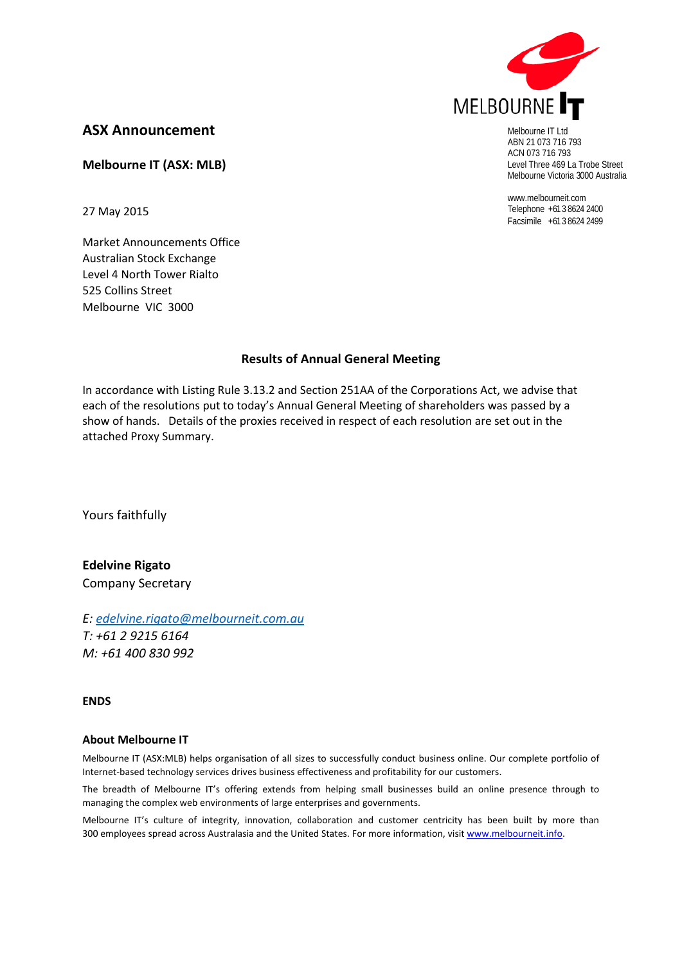

Melbourne IT Ltd ABN 21 073 716 793 ACN 073 716 793 Level Three 469 La Trobe Street Melbourne Victoria 3000 Australia

www.melbourneit.com Telephone +61 3 8624 2400 Facsimile +61 3 8624 2499

# **ASX Announcement**

**Melbourne IT (ASX: MLB)**

27 May 2015

Market Announcements Office Australian Stock Exchange Level 4 North Tower Rialto 525 Collins Street Melbourne VIC 3000

## **Results of Annual General Meeting**

In accordance with Listing Rule 3.13.2 and Section 251AA of the Corporations Act, we advise that each of the resolutions put to today's Annual General Meeting of shareholders was passed by a show of hands. Details of the proxies received in respect of each resolution are set out in the attached Proxy Summary.

Yours faithfully

**Edelvine Rigato** Company Secretary

*E: [edelvine.rigato@melbourneit.com.au](mailto:edelvine.rigato@melbourneit.com.au) T: +61 2 9215 6164 M: +61 400 830 992*

### **ENDS**

### **About Melbourne IT**

Melbourne IT (ASX:MLB) helps organisation of all sizes to successfully conduct business online. Our complete portfolio of Internet-based technology services drives business effectiveness and profitability for our customers.

The breadth of Melbourne IT's offering extends from helping small businesses build an online presence through to managing the complex web environments of large enterprises and governments.

Melbourne IT's culture of integrity, innovation, collaboration and customer centricity has been built by more than 300 employees spread across Australasia and the United States. For more information, visi[t www.melbourneit.info.](http://www.melbourneit.info/)